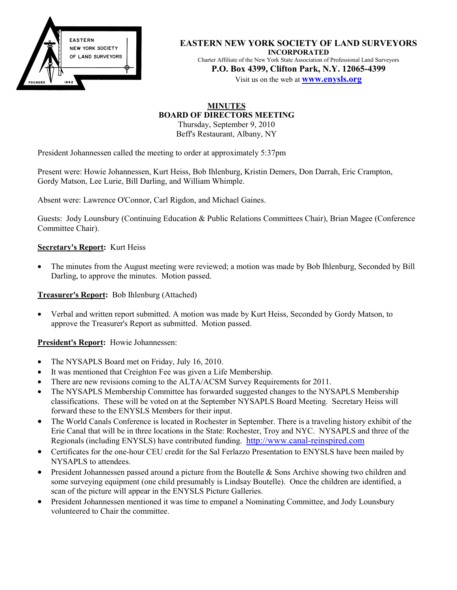

**EASTERN NEW YORK SOCIETY OF LAND SURVEYORS INCORPORATED** Charter Affiliate of the New York State Association of Professional Land Surveyors **P.O. Box 4399, Clifton Park, N.Y. 12065-4399**

Visit us on the web at **www.enysls.org**

# **MINUTES BOARD OF DIRECTORS MEETING**

Thursday, September 9, 2010 Beff's Restaurant, Albany, NY

President Johannessen called the meeting to order at approximately 5:37pm

Present were: Howie Johannessen, Kurt Heiss, Bob Ihlenburg, Kristin Demers, Don Darrah, Eric Crampton, Gordy Matson, Lee Lurie, Bill Darling, and William Whimple.

Absent were: Lawrence O'Connor, Carl Rigdon, and Michael Gaines.

Guests: Jody Lounsbury (Continuing Education & Public Relations Committees Chair), Brian Magee (Conference Committee Chair).

### **Secretary's Report:** Kurt Heiss

• The minutes from the August meeting were reviewed; a motion was made by Bob Ihlenburg, Seconded by Bill Darling, to approve the minutes. Motion passed.

## **Treasurer's Report:** Bob Ihlenburg (Attached)

• Verbal and written report submitted. A motion was made by Kurt Heiss, Seconded by Gordy Matson, to approve the Treasurer's Report as submitted. Motion passed.

**President's Report:** Howie Johannessen:

- The NYSAPLS Board met on Friday, July 16, 2010.
- It was mentioned that Creighton Fee was given a Life Membership.
- There are new revisions coming to the ALTA/ACSM Survey Requirements for 2011.
- The NYSAPLS Membership Committee has forwarded suggested changes to the NYSAPLS Membership classifications. These will be voted on at the September NYSAPLS Board Meeting. Secretary Heiss will forward these to the ENYSLS Members for their input.
- The World Canals Conference is located in Rochester in September. There is a traveling history exhibit of the Erie Canal that will be in three locations in the State: Rochester, Troy and NYC. NYSAPLS and three of the Regionals (including ENYSLS) have contributed funding. [http://www.canal-reinspired.com](http://www.canal-reinspired.com/)
- Certificates for the one-hour CEU credit for the Sal Ferlazzo Presentation to ENYSLS have been mailed by NYSAPLS to attendees.
- President Johannessen passed around a picture from the Boutelle & Sons Archive showing two children and some surveying equipment (one child presumably is Lindsay Boutelle). Once the children are identified, a scan of the picture will appear in the ENYSLS Picture Galleries.
- President Johannessen mentioned it was time to empanel a Nominating Committee, and Jody Lounsbury volunteered to Chair the committee.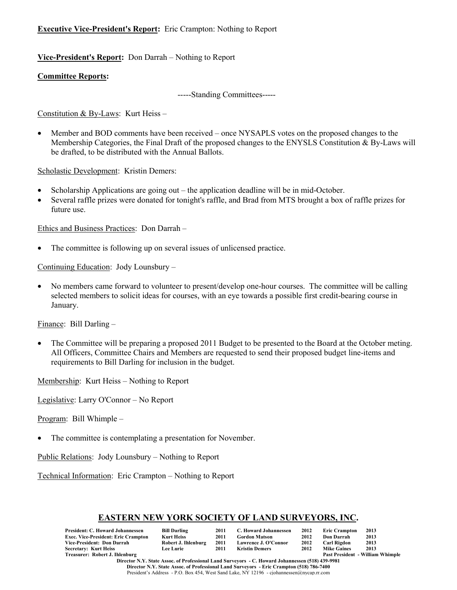## **Executive Vice-President's Report:** Eric Crampton: Nothing to Report

# **Vice-President's Report:** Don Darrah – Nothing to Report

## **Committee Reports:**

-----Standing Committees-----

Constitution & By-Laws: Kurt Heiss –

• Member and BOD comments have been received – once NYSAPLS votes on the proposed changes to the Membership Categories, the Final Draft of the proposed changes to the ENYSLS Constitution & By-Laws will be drafted, to be distributed with the Annual Ballots.

Scholastic Development: Kristin Demers:

- Scholarship Applications are going out the application deadline will be in mid-October.
- Several raffle prizes were donated for tonight's raffle, and Brad from MTS brought a box of raffle prizes for future use.

Ethics and Business Practices: Don Darrah –

• The committee is following up on several issues of unlicensed practice.

Continuing Education: Jody Lounsbury –

• No members came forward to volunteer to present/develop one-hour courses. The committee will be calling selected members to solicit ideas for courses, with an eye towards a possible first credit-bearing course in January.

Finance: Bill Darling –

• The Committee will be preparing a proposed 2011 Budget to be presented to the Board at the October meting. All Officers, Committee Chairs and Members are requested to send their proposed budget line-items and requirements to Bill Darling for inclusion in the budget.

Membership: Kurt Heiss – Nothing to Report

Legislative: Larry O'Connor – No Report

Program: Bill Whimple –

• The committee is contemplating a presentation for November.

Public Relations: Jody Lounsbury – Nothing to Report

Technical Information: Eric Crampton – Nothing to Report

## **EASTERN NEW YORK SOCIETY OF LAND SURVEYORS, INC.**

|                                            |                     | 2011 | C. Howard Johannessen | 2012 |                      | 2013                             |
|--------------------------------------------|---------------------|------|-----------------------|------|----------------------|----------------------------------|
| President: C. Howard Johannessen           | <b>Bill Darling</b> |      |                       |      | <b>Eric Crampton</b> |                                  |
| <b>Exec. Vice-President: Eric Crampton</b> | <b>Kurt Heiss</b>   | 2011 | <b>Gordon Matson</b>  | 2012 | Don Darrah           | 2013                             |
| Vice-President: Don Darrah                 | Robert J. Ihlenburg | 2011 | Lawrence J. O'Connor  | 2012 | Carl Rigdon          | 2013                             |
| <b>Secretary: Kurt Heiss</b>               | <b>Lee Lurie</b>    | 2011 | Kristin Demers        | 2012 | <b>Mike Gaines</b>   | 2013                             |
| Treasurer: Robert J. Ihlenburg             |                     |      |                       |      |                      | Past President - William Whimple |

**Director N.Y. State Assoc. of Professional Land Surveyors - C. Howard Johannessen (518) 439-9981 Director N.Y. State Assoc. of Professional Land Surveyors - Eric Crampton (518) 786-7400** President's Address - P.O. Box 454, West Sand Lake, NY 12196 - cjohannessen@nycap.rr.com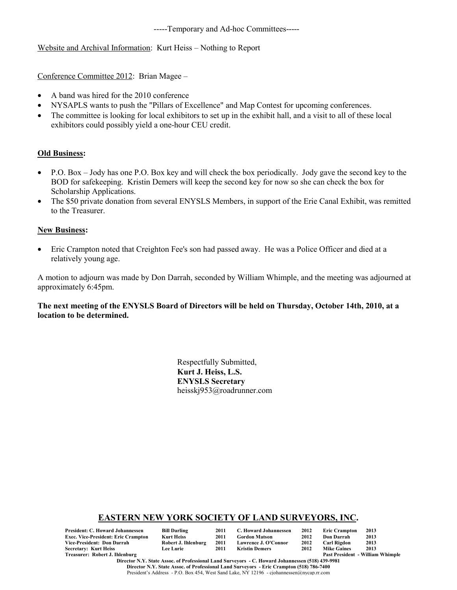-----Temporary and Ad-hoc Committees-----

Website and Archival Information: Kurt Heiss – Nothing to Report

Conference Committee 2012: Brian Magee –

- A band was hired for the 2010 conference
- NYSAPLS wants to push the "Pillars of Excellence" and Map Contest for upcoming conferences.
- The committee is looking for local exhibitors to set up in the exhibit hall, and a visit to all of these local exhibitors could possibly yield a one-hour CEU credit.

## **Old Business:**

- P.O. Box Jody has one P.O. Box key and will check the box periodically. Jody gave the second key to the BOD for safekeeping. Kristin Demers will keep the second key for now so she can check the box for Scholarship Applications.
- The \$50 private donation from several ENYSLS Members, in support of the Erie Canal Exhibit, was remitted to the Treasurer.

### **New Business:**

• Eric Crampton noted that Creighton Fee's son had passed away. He was a Police Officer and died at a relatively young age.

A motion to adjourn was made by Don Darrah, seconded by William Whimple, and the meeting was adjourned at approximately 6:45pm.

**The next meeting of the ENYSLS Board of Directors will be held on Thursday, October 14th, 2010, at a location to be determined.**

> Respectfully Submitted, **Kurt J. Heiss, L.S. ENYSLS Secretary** heisskj953@roadrunner.com

### **EASTERN NEW YORK SOCIETY OF LAND SURVEYORS, INC.**

| President: C. Howard Johannessen    | <b>Bill Darling</b> | 2011 | C. Howard Johannessen | 2012 | <b>Eric Crampton</b> | 2013                                    |
|-------------------------------------|---------------------|------|-----------------------|------|----------------------|-----------------------------------------|
| Exec. Vice-President: Eric Crampton | Kurt Heiss          | 2011 | <b>Gordon Matson</b>  | 2012 | Don Darrah           | 2013                                    |
| Vice-President: Don Darrah          | Robert J. Ihlenburg | 2011 | Lawrence J. O'Connor  | 2012 | Carl Rigdon          | 2013                                    |
| Secretary: Kurt Heiss               | <b>Lee Lurie</b>    | 2011 | Kristin Demers        | 2012 | <b>Mike Gaines</b>   | 2013                                    |
| Treasurer: Robert J. Ihlenburg      |                     |      |                       |      |                      | <b>Past President - William Whimple</b> |

**Director N.Y. State Assoc. of Professional Land Surveyors - C. Howard Johannessen (518) 439-9981 Director N.Y. State Assoc. of Professional Land Surveyors - Eric Crampton (518) 786-7400** President's Address - P.O. Box 454, West Sand Lake, NY 12196 - cjohannessen@nycap.rr.com